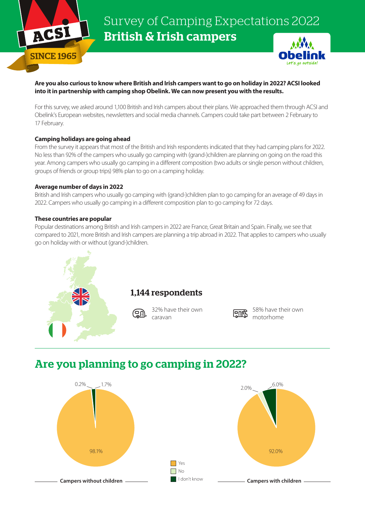

Survey of Camping Expectations 2022 British & Irish campers



## **Are you also curious to know where British and Irish campers want to go on holiday in 2022? ACSI looked into it in partnership with camping shop Obelink. We can now present you with the results.**

For this survey, we asked around 1,100 British and Irish campers about their plans. We approached them through ACSI and Obelink's European websites, newsletters and social media channels. Campers could take part between 2 February to 17 February.

## **Camping holidays are going ahead**

From the survey it appears that most of the British and Irish respondents indicated that they had camping plans for 2022. No less than 92% of the campers who usually go camping with (grand-)children are planning on going on the road this year. Among campers who usually go camping in a different composition (two adults or single person without children, groups of friends or group trips) 98% plan to go on a camping holiday.

#### **Average number of days in 2022**

British and Irish campers who usually go camping with (grand-)children plan to go camping for an average of 49 days in 2022. Campers who usually go camping in a different composition plan to go camping for 72 days.

## **These countries are popular**

Popular destinations among British and Irish campers in 2022 are France, Great Britain and Spain. Finally, we see that compared to 2021, more British and Irish campers are planning a trip abroad in 2022. That applies to campers who usually go on holiday with or without (grand-)children.



# **मिणि**

58% have their own motorhome

## Are you planning to go camping in 2022?